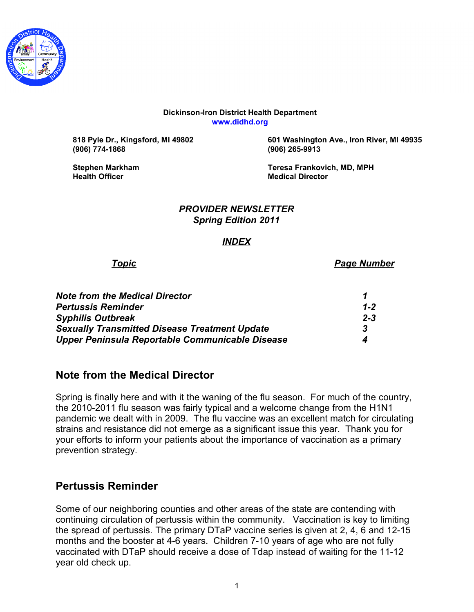

#### **Dickinson-Iron District Health Department [www.didhd.org](http://www.didhd.org/)**

**(906) 774-1868 (906) 265-9913**

**818 Pyle Dr., Kingsford, MI 49802 601 Washington Ave., Iron River, MI 49935**

**Health Officer Medical Director**

**Stephen Markham Teresa Frankovich, MD, MPH**

#### *PROVIDER NEWSLETTER Spring Edition 2011*

### *INDEX*

*Topic Page Number*

| <b>Note from the Medical Director</b>                |                  |
|------------------------------------------------------|------------------|
| <b>Pertussis Reminder</b>                            | $1 - 2$          |
| <b>Syphilis Outbreak</b>                             | $2 - 3$          |
| <b>Sexually Transmitted Disease Treatment Update</b> | -3               |
| Upper Peninsula Reportable Communicable Disease      | $\boldsymbol{A}$ |

## **Note from the Medical Director**

Spring is finally here and with it the waning of the flu season. For much of the country, the 2010-2011 flu season was fairly typical and a welcome change from the H1N1 pandemic we dealt with in 2009. The flu vaccine was an excellent match for circulating strains and resistance did not emerge as a significant issue this year. Thank you for your efforts to inform your patients about the importance of vaccination as a primary prevention strategy.

# **Pertussis Reminder**

Some of our neighboring counties and other areas of the state are contending with continuing circulation of pertussis within the community. Vaccination is key to limiting the spread of pertussis. The primary DTaP vaccine series is given at 2, 4, 6 and 12-15 months and the booster at 4-6 years. Children 7-10 years of age who are not fully vaccinated with DTaP should receive a dose of Tdap instead of waiting for the 11-12 year old check up.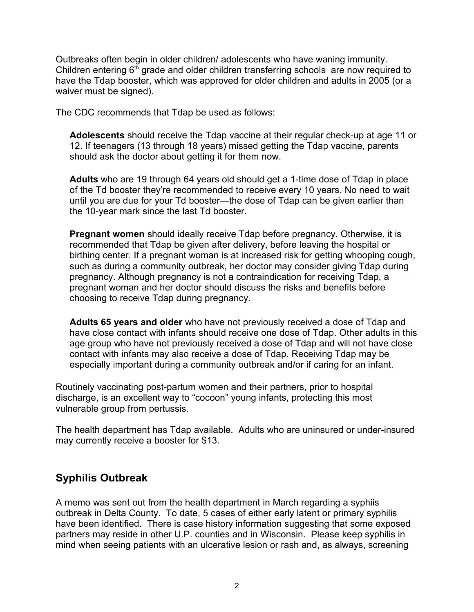Outbreaks often begin in older children/ adolescents who have waning immunity. Children entering  $6<sup>th</sup>$  grade and older children transferring schools are now required to have the Tdap booster, which was approved for older children and adults in 2005 (or a waiver must be signed).

The CDC recommends that Tdap be used as follows:

**Adolescents** should receive the Tdap vaccine at their regular check-up at age 11 or 12. If teenagers (13 through 18 years) missed getting the Tdap vaccine, parents should ask the doctor about getting it for them now.

**Adults** who are 19 through 64 years old should get a 1-time dose of Tdap in place of the Td booster they're recommended to receive every 10 years. No need to wait until you are due for your Td booster—the dose of Tdap can be given earlier than the 10-year mark since the last Td booster.

**Pregnant women** should ideally receive Tdap before pregnancy. Otherwise, it is recommended that Tdap be given after delivery, before leaving the hospital or birthing center. If a pregnant woman is at increased risk for getting whooping cough, such as during a community outbreak, her doctor may consider giving Tdap during pregnancy. Although pregnancy is not a contraindication for receiving Tdap, a pregnant woman and her doctor should discuss the risks and benefits before choosing to receive Tdap during pregnancy.

**Adults 65 years and older** who have not previously received a dose of Tdap and have close contact with infants should receive one dose of Tdap. Other adults in this age group who have not previously received a dose of Tdap and will not have close contact with infants may also receive a dose of Tdap. Receiving Tdap may be especially important during a community outbreak and/or if caring for an infant.

Routinely vaccinating post-partum women and their partners, prior to hospital discharge, is an excellent way to "cocoon" young infants, protecting this most vulnerable group from pertussis.

The health department has Tdap available. Adults who are uninsured or under-insured may currently receive a booster for \$13.

## **Syphilis Outbreak**

A memo was sent out from the health department in March regarding a syphiis outbreak in Delta County. To date, 5 cases of either early latent or primary syphilis have been identified. There is case history information suggesting that some exposed partners may reside in other U.P. counties and in Wisconsin. Please keep syphilis in mind when seeing patients with an ulcerative lesion or rash and, as always, screening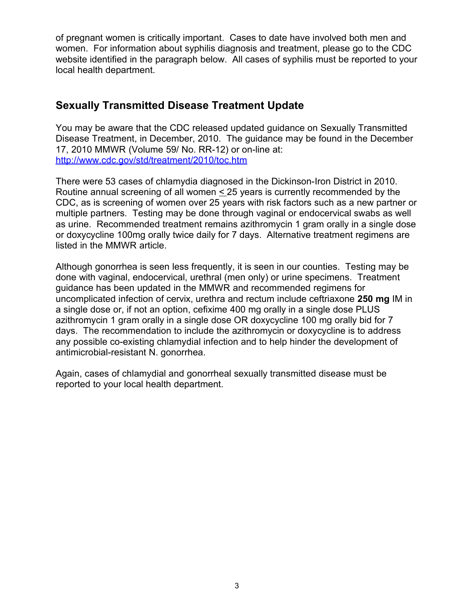of pregnant women is critically important. Cases to date have involved both men and women. For information about syphilis diagnosis and treatment, please go to the CDC website identified in the paragraph below. All cases of syphilis must be reported to your local health department.

# **Sexually Transmitted Disease Treatment Update**

You may be aware that the CDC released updated guidance on Sexually Transmitted Disease Treatment, in December, 2010. The guidance may be found in the December 17, 2010 MMWR (Volume 59/ No. RR-12) or on-line at: <http://www.cdc.gov/std/treatment/2010/toc.htm>

There were 53 cases of chlamydia diagnosed in the Dickinson-Iron District in 2010. Routine annual screening of all women  $\leq$  25 years is currently recommended by the CDC, as is screening of women over 25 years with risk factors such as a new partner or multiple partners. Testing may be done through vaginal or endocervical swabs as well as urine. Recommended treatment remains azithromycin 1 gram orally in a single dose or doxycycline 100mg orally twice daily for 7 days. Alternative treatment regimens are listed in the MMWR article.

Although gonorrhea is seen less frequently, it is seen in our counties. Testing may be done with vaginal, endocervical, urethral (men only) or urine specimens. Treatment guidance has been updated in the MMWR and recommended regimens for uncomplicated infection of cervix, urethra and rectum include ceftriaxone **250 mg** IM in a single dose or, if not an option, cefixime 400 mg orally in a single dose PLUS azithromycin 1 gram orally in a single dose OR doxycycline 100 mg orally bid for 7 days. The recommendation to include the azithromycin or doxycycline is to address any possible co-existing chlamydial infection and to help hinder the development of antimicrobial-resistant N. gonorrhea.

Again, cases of chlamydial and gonorrheal sexually transmitted disease must be reported to your local health department.